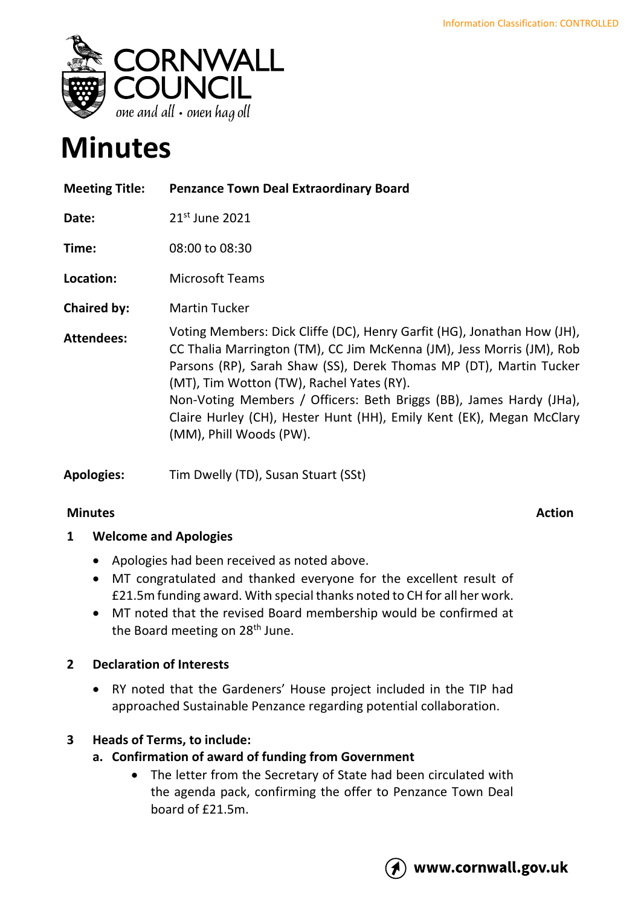

# **Minutes**

| <b>Meeting Title:</b> | <b>Penzance Town Deal Extraordinary Board</b>                                                                                                                                                                                                                                                                                                                                                                                                 |
|-----------------------|-----------------------------------------------------------------------------------------------------------------------------------------------------------------------------------------------------------------------------------------------------------------------------------------------------------------------------------------------------------------------------------------------------------------------------------------------|
| Date:                 | $21st$ June 2021                                                                                                                                                                                                                                                                                                                                                                                                                              |
| Time:                 | 08:00 to 08:30                                                                                                                                                                                                                                                                                                                                                                                                                                |
| Location:             | <b>Microsoft Teams</b>                                                                                                                                                                                                                                                                                                                                                                                                                        |
| <b>Chaired by:</b>    | <b>Martin Tucker</b>                                                                                                                                                                                                                                                                                                                                                                                                                          |
| <b>Attendees:</b>     | Voting Members: Dick Cliffe (DC), Henry Garfit (HG), Jonathan How (JH),<br>CC Thalia Marrington (TM), CC Jim McKenna (JM), Jess Morris (JM), Rob<br>Parsons (RP), Sarah Shaw (SS), Derek Thomas MP (DT), Martin Tucker<br>(MT), Tim Wotton (TW), Rachel Yates (RY).<br>Non-Voting Members / Officers: Beth Briggs (BB), James Hardy (JHa),<br>Claire Hurley (CH), Hester Hunt (HH), Emily Kent (EK), Megan McClary<br>(MM), Phill Woods (PW). |

**Apologies:** Tim Dwelly (TD), Susan Stuart (SSt)

### **Minutes** Action

# **1 Welcome and Apologies**

- Apologies had been received as noted above.
- MT congratulated and thanked everyone for the excellent result of £21.5m funding award. With special thanks noted to CH for all her work.
- MT noted that the revised Board membership would be confirmed at the Board meeting on 28<sup>th</sup> June.

# **2 Declaration of Interests**

• RY noted that the Gardeners' House project included in the TIP had approached Sustainable Penzance regarding potential collaboration.

# **3 Heads of Terms, to include:**

- **a. Confirmation of award of funding from Government**
	- The letter from the Secretary of State had been circulated with the agenda pack, confirming the offer to Penzance Town Deal board of £21.5m.

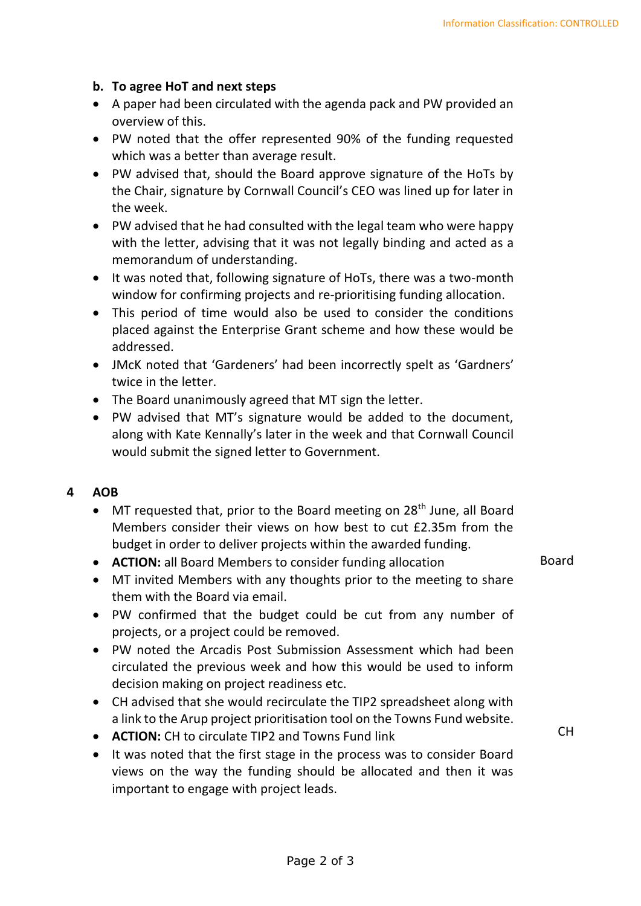#### **b. To agree HoT and next steps**

- A paper had been circulated with the agenda pack and PW provided an overview of this.
- PW noted that the offer represented 90% of the funding requested which was a better than average result.
- PW advised that, should the Board approve signature of the HoTs by the Chair, signature by Cornwall Council's CEO was lined up for later in the week.
- PW advised that he had consulted with the legal team who were happy with the letter, advising that it was not legally binding and acted as a memorandum of understanding.
- It was noted that, following signature of HoTs, there was a two-month window for confirming projects and re-prioritising funding allocation.
- This period of time would also be used to consider the conditions placed against the Enterprise Grant scheme and how these would be addressed.
- JMcK noted that 'Gardeners' had been incorrectly spelt as 'Gardners' twice in the letter.
- The Board unanimously agreed that MT sign the letter.
- PW advised that MT's signature would be added to the document, along with Kate Kennally's later in the week and that Cornwall Council would submit the signed letter to Government.

#### **4 AOB**

- MT requested that, prior to the Board meeting on 28<sup>th</sup> June, all Board Members consider their views on how best to cut £2.35m from the budget in order to deliver projects within the awarded funding.
- **ACTION:** all Board Members to consider funding allocation
- Board

CH

- MT invited Members with any thoughts prior to the meeting to share them with the Board via email.
- PW confirmed that the budget could be cut from any number of projects, or a project could be removed.
- PW noted the Arcadis Post Submission Assessment which had been circulated the previous week and how this would be used to inform decision making on project readiness etc.
- CH advised that she would recirculate the TIP2 spreadsheet along with a link to the Arup project prioritisation tool on the Towns Fund website.
- **ACTION:** CH to circulate TIP2 and Towns Fund link
- It was noted that the first stage in the process was to consider Board views on the way the funding should be allocated and then it was important to engage with project leads.